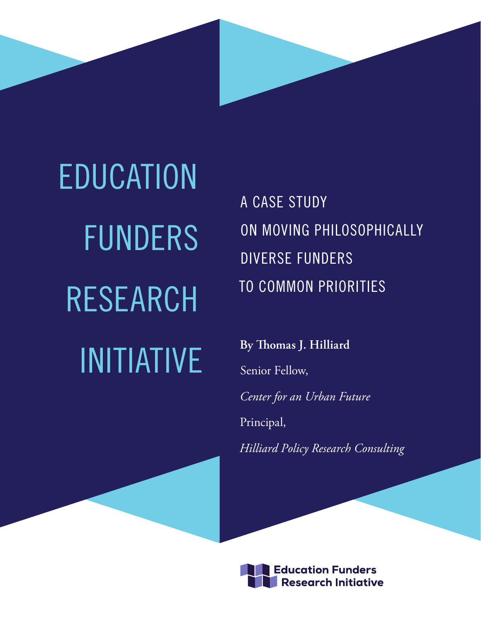

A CASE STUDY ON MOVING PHILOSOPHICALLY DIVERSE FUNDERS TO COMMON PRIORITIES

**By Thomas J. Hilliard** Senior Fellow, *Center for an Urban Future* Principal, *Hilliard Policy Research Consulting*

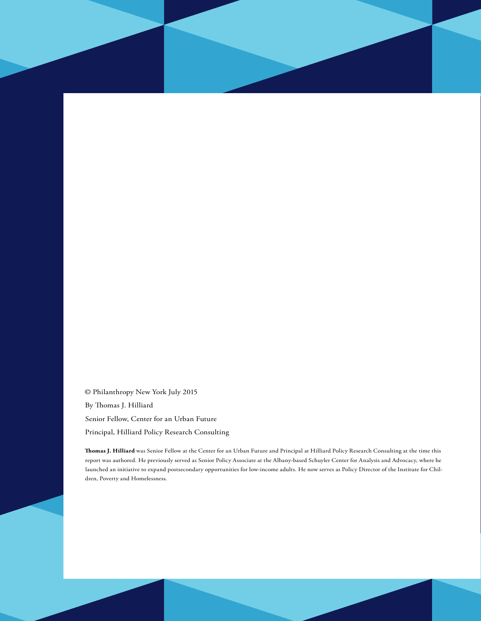© Philanthropy New York July 2015 By Thomas J. Hilliard Senior Fellow, Center for an Urban Future Principal, Hilliard Policy Research Consulting

**Thomas J. Hilliard** was Senior Fellow at the Center for an Urban Future and Principal at Hilliard Policy Research Consulting at the time this report was authored. He previously served as Senior Policy Associate at the Albany-based Schuyler Center for Analysis and Advocacy, where he launched an initiative to expand postsecondary opportunities for low-income adults. He now serves as Policy Director of the Institute for Children, Poverty and Homelessness.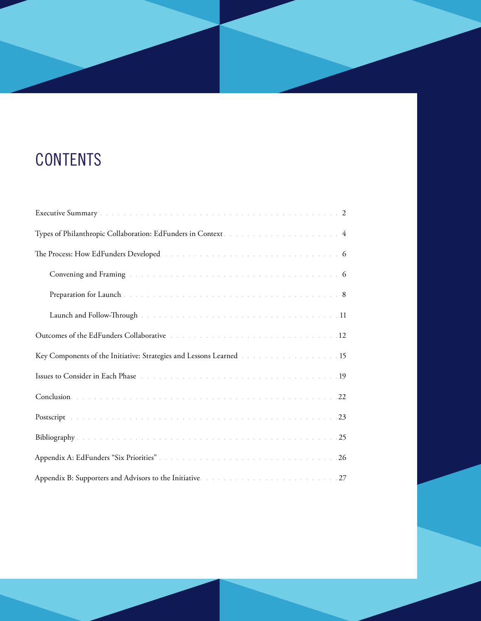# **CONTENTS**

| Outcomes of the EdFunders Collaborative entering the service of the EdFunders Collaborative entering the service of the EdFunders Collaborative entering the service of the Service of the Service of the Service of the Servi |
|--------------------------------------------------------------------------------------------------------------------------------------------------------------------------------------------------------------------------------|
| Key Components of the Initiative: Strategies and Lessons Learned Alberta Alberta Alberta Alberta Alberta Albert                                                                                                                |
| Issues to Consider in Each Phase <i>and a subset of the state in the state in the state in the state in</i> 19                                                                                                                 |
|                                                                                                                                                                                                                                |
| Postscript descriptions and a series of the contract of the contract of the contract of the contract of the contract of the contract of the contract of the contract of the contract of the contract of the contract of the co |
|                                                                                                                                                                                                                                |
|                                                                                                                                                                                                                                |
|                                                                                                                                                                                                                                |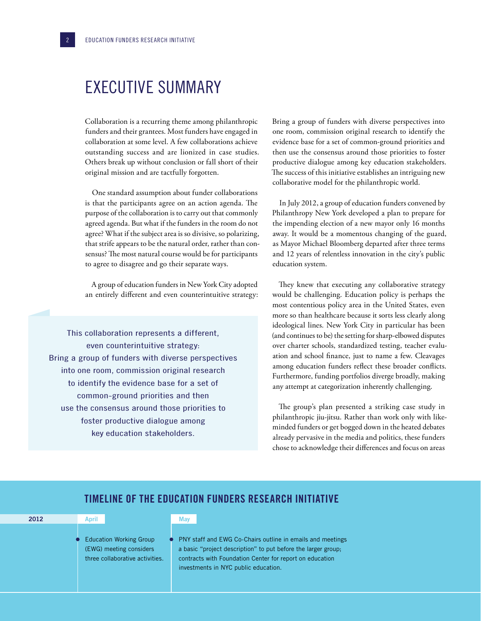# EXECUTIVE SUMMARY

Collaboration is a recurring theme among philanthropic funders and their grantees. Most funders have engaged in collaboration at some level. A few collaborations achieve outstanding success and are lionized in case studies. Others break up without conclusion or fall short of their original mission and are tactfully forgotten.

One standard assumption about funder collaborations is that the participants agree on an action agenda. The purpose of the collaboration is to carry out that commonly agreed agenda. But what if the funders in the room do not agree? What if the subject area is so divisive, so polarizing, that strife appears to be the natural order, rather than consensus? The most natural course would be for participants to agree to disagree and go their separate ways.

A group of education funders in New York City adopted an entirely different and even counterintuitive strategy:

This collaboration represents a different, even counterintuitive strategy: Bring a group of funders with diverse perspectives into one room, commission original research to identify the evidence base for a set of common-ground priorities and then use the consensus around those priorities to foster productive dialogue among key education stakeholders.

Bring a group of funders with diverse perspectives into one room, commission original research to identify the evidence base for a set of common-ground priorities and then use the consensus around those priorities to foster productive dialogue among key education stakeholders. The success of this initiative establishes an intriguing new collaborative model for the philanthropic world.

In July 2012, a group of education funders convened by Philanthropy New York developed a plan to prepare for the impending election of a new mayor only 16 months away. It would be a momentous changing of the guard, as Mayor Michael Bloomberg departed after three terms and 12 years of relentless innovation in the city's public education system.

They knew that executing any collaborative strategy would be challenging. Education policy is perhaps the most contentious policy area in the United States, even more so than healthcare because it sorts less clearly along ideological lines. New York City in particular has been (and continues to be) the setting for sharp-elbowed disputes over charter schools, standardized testing, teacher evaluation and school finance, just to name a few. Cleavages among education funders reflect these broader conflicts. Furthermore, funding portfolios diverge broadly, making any attempt at categorization inherently challenging.

The group's plan presented a striking case study in philanthropic jiu-jitsu. Rather than work only with likeminded funders or get bogged down in the heated debates already pervasive in the media and politics, these funders chose to acknowledge their differences and focus on areas

### TIMELINE OF THE EDUCATION FUNDERS RESEARCH INITIATIVE

**May** 

2012

#### April

#### Education Working Group (EWG) meeting considers three collaborative activities.

PNY staff and EWG Co-Chairs outline in emails and meetings a basic "project description" to put before the larger group; contracts with Foundation Center for report on education investments in NYC public education.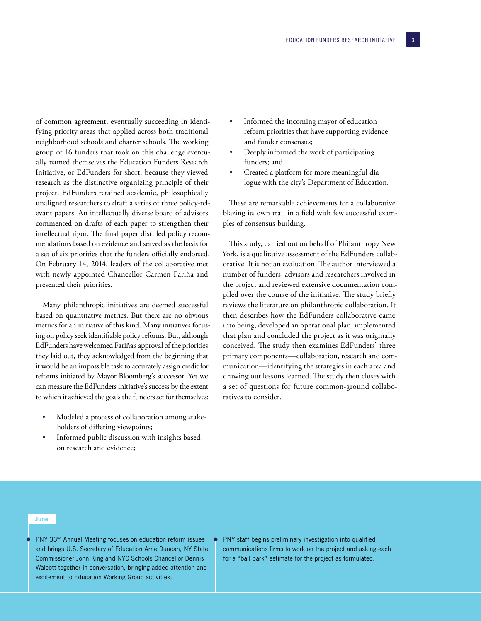of common agreement, eventually succeeding in identifying priority areas that applied across both traditional neighborhood schools and charter schools. The working group of 16 funders that took on this challenge eventually named themselves the Education Funders Research Initiative, or EdFunders for short, because they viewed research as the distinctive organizing principle of their project. EdFunders retained academic, philosophically unaligned researchers to draft a series of three policy-relevant papers. An intellectually diverse board of advisors commented on drafts of each paper to strengthen their intellectual rigor. The final paper distilled policy recommendations based on evidence and served as the basis for a set of six priorities that the funders officially endorsed. On February 14, 2014, leaders of the collaborative met with newly appointed Chancellor Carmen Fariña and presented their priorities.

Many philanthropic initiatives are deemed successful based on quantitative metrics. But there are no obvious metrics for an initiative of this kind. Many initiatives focusing on policy seek identifiable policy reforms. But, although EdFunders have welcomed Fariña's approval of the priorities they laid out, they acknowledged from the beginning that it would be an impossible task to accurately assign credit for reforms initiated by Mayor Bloomberg's successor. Yet we can measure the EdFunders initiative's success by the extent to which it achieved the goals the funders set for themselves:

- Modeled a process of collaboration among stakeholders of differing viewpoints;
- Informed public discussion with insights based on research and evidence;
- Informed the incoming mayor of education reform priorities that have supporting evidence and funder consensus;
- Deeply informed the work of participating funders; and
- Created a platform for more meaningful dialogue with the city's Department of Education.

These are remarkable achievements for a collaborative blazing its own trail in a field with few successful examples of consensus-building.

This study, carried out on behalf of Philanthropy New York, is a qualitative assessment of the EdFunders collaborative. It is not an evaluation. The author interviewed a number of funders, advisors and researchers involved in the project and reviewed extensive documentation compiled over the course of the initiative. The study briefly reviews the literature on philanthropic collaboration. It then describes how the EdFunders collaborative came into being, developed an operational plan, implemented that plan and concluded the project as it was originally conceived. The study then examines EdFunders' three primary components—collaboration, research and communication—identifying the strategies in each area and drawing out lessons learned. The study then closes with a set of questions for future common-ground collaboratives to consider.

#### **June**

- PNY 33<sup>nd</sup> Annual Meeting focuses on education reform issues and brings U.S. Secretary of Education Arne Duncan, NY State Commissioner John King and NYC Schools Chancellor Dennis Walcott together in conversation, bringing added attention and excitement to Education Working Group activities.
- PNY staff begins preliminary investigation into qualified communications firms to work on the project and asking each for a "ball park" estimate for the project as formulated.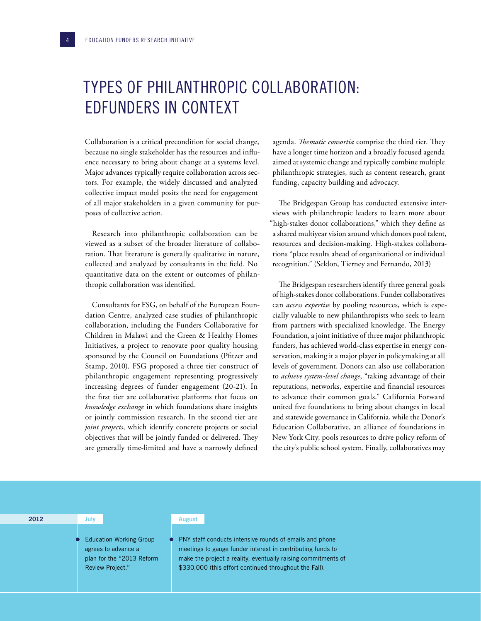# TYPES OF PHILANTHROPIC COLLABORATION: EDFUNDERS IN CONTEXT

Collaboration is a critical precondition for social change, because no single stakeholder has the resources and influence necessary to bring about change at a systems level. Major advances typically require collaboration across sectors. For example, the widely discussed and analyzed collective impact model posits the need for engagement of all major stakeholders in a given community for purposes of collective action.

Research into philanthropic collaboration can be viewed as a subset of the broader literature of collaboration. That literature is generally qualitative in nature, collected and analyzed by consultants in the field. No quantitative data on the extent or outcomes of philanthropic collaboration was identified.

Consultants for FSG, on behalf of the European Foundation Centre, analyzed case studies of philanthropic collaboration, including the Funders Collaborative for Children in Malawi and the Green & Healthy Homes Initiatives, a project to renovate poor quality housing sponsored by the Council on Foundations (Pfitzer and Stamp, 2010). FSG proposed a three tier construct of philanthropic engagement representing progressively increasing degrees of funder engagement (20-21). In the first tier are collaborative platforms that focus on *knowledge exchange* in which foundations share insights or jointly commission research. In the second tier are *joint projects*, which identify concrete projects or social objectives that will be jointly funded or delivered. They are generally time-limited and have a narrowly defined

agenda. *Thematic consortia* comprise the third tier. They have a longer time horizon and a broadly focused agenda aimed at systemic change and typically combine multiple philanthropic strategies, such as content research, grant funding, capacity building and advocacy.

The Bridgespan Group has conducted extensive interviews with philanthropic leaders to learn more about "high-stakes donor collaborations," which they define as a shared multiyear vision around which donors pool talent, resources and decision-making. High-stakes collaborations "place results ahead of organizational or individual recognition." (Seldon, Tierney and Fernando, 2013)

The Bridgespan researchers identify three general goals of high-stakes donor collaborations. Funder collaboratives can *access expertise* by pooling resources, which is especially valuable to new philanthropists who seek to learn from partners with specialized knowledge. The Energy Foundation, a joint initiative of three major philanthropic funders, has achieved world-class expertise in energy conservation, making it a major player in policymaking at all levels of government. Donors can also use collaboration to *achieve system-level change*, "taking advantage of their reputations, networks, expertise and financial resources to advance their common goals." California Forward united five foundations to bring about changes in local and statewide governance in California, while the Donor's Education Collaborative, an alliance of foundations in New York City, pools resources to drive policy reform of the city's public school system. Finally, collaboratives may

2012

**July** 

#### August

Education Working Group agrees to advance a plan for the "2013 Reform Review Project."

PNY staff conducts intensive rounds of emails and phone meetings to gauge funder interest in contributing funds to make the project a reality, eventually raising commitments of \$330,000 (this effort continued throughout the Fall).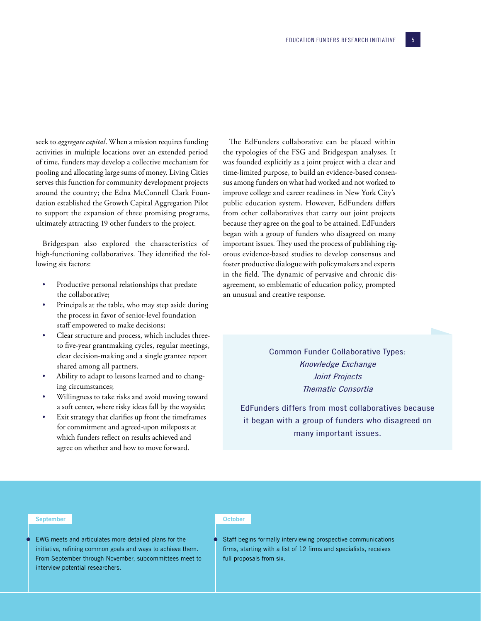seek to *aggregate capital*. When a mission requires funding activities in multiple locations over an extended period of time, funders may develop a collective mechanism for pooling and allocating large sums of money. Living Cities serves this function for community development projects around the country; the Edna McConnell Clark Foundation established the Growth Capital Aggregation Pilot to support the expansion of three promising programs, ultimately attracting 19 other funders to the project.

Bridgespan also explored the characteristics of high-functioning collaboratives. They identified the following six factors:

- Productive personal relationships that predate the collaborative;
- Principals at the table, who may step aside during the process in favor of senior-level foundation staff empowered to make decisions;
- Clear structure and process, which includes threeto five-year grantmaking cycles, regular meetings, clear decision-making and a single grantee report shared among all partners.
- Ability to adapt to lessons learned and to changing circumstances;
- Willingness to take risks and avoid moving toward a soft center, where risky ideas fall by the wayside;
- Exit strategy that clarifies up front the timeframes for commitment and agreed-upon mileposts at which funders reflect on results achieved and agree on whether and how to move forward.

The EdFunders collaborative can be placed within the typologies of the FSG and Bridgespan analyses. It was founded explicitly as a joint project with a clear and time-limited purpose, to build an evidence-based consensus among funders on what had worked and not worked to improve college and career readiness in New York City's public education system. However, EdFunders differs from other collaboratives that carry out joint projects because they agree on the goal to be attained. EdFunders began with a group of funders who disagreed on many important issues. They used the process of publishing rigorous evidence-based studies to develop consensus and foster productive dialogue with policymakers and experts in the field. The dynamic of pervasive and chronic disagreement, so emblematic of education policy, prompted an unusual and creative response.

> Common Funder Collaborative Types: *Knowledge Exchange Joint Projects Thematic Consortia*

EdFunders differs from most collaboratives because it began with a group of funders who disagreed on many important issues.

#### September

EWG meets and articulates more detailed plans for the initiative, refining common goals and ways to achieve them. From September through November, subcommittees meet to interview potential researchers.

#### **October**

Staff begins formally interviewing prospective communications firms, starting with a list of 12 firms and specialists, receives full proposals from six.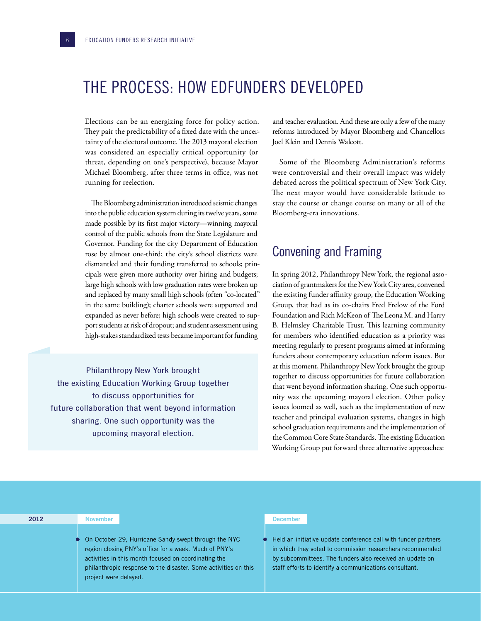# THE PROCESS: HOW EDFUNDERS DEVELOPED

Elections can be an energizing force for policy action. They pair the predictability of a fixed date with the uncertainty of the electoral outcome. The 2013 mayoral election was considered an especially critical opportunity (or threat, depending on one's perspective), because Mayor Michael Bloomberg, after three terms in office, was not running for reelection.

The Bloomberg administration introduced seismic changes into the public education system during its twelve years, some made possible by its first major victory—winning mayoral control of the public schools from the State Legislature and Governor. Funding for the city Department of Education rose by almost one-third; the city's school districts were dismantled and their funding transferred to schools; principals were given more authority over hiring and budgets; large high schools with low graduation rates were broken up and replaced by many small high schools (often "co-located" in the same building); charter schools were supported and expanded as never before; high schools were created to support students at risk of dropout; and student assessment using high-stakes standardized tests became important for funding

Philanthropy New York brought the existing Education Working Group together to discuss opportunities for future collaboration that went beyond information sharing. One such opportunity was the upcoming mayoral election.

and teacher evaluation. And these are only a few of the many reforms introduced by Mayor Bloomberg and Chancellors Joel Klein and Dennis Walcott.

Some of the Bloomberg Administration's reforms were controversial and their overall impact was widely debated across the political spectrum of New York City. The next mayor would have considerable latitude to stay the course or change course on many or all of the Bloomberg-era innovations.

### Convening and Framing

In spring 2012, Philanthropy New York, the regional association of grantmakers for the New York City area, convened the existing funder affinity group, the Education Working Group, that had as its co-chairs Fred Frelow of the Ford Foundation and Rich McKeon of The Leona M. and Harry B. Helmsley Charitable Trust. This learning community for members who identified education as a priority was meeting regularly to present programs aimed at informing funders about contemporary education reform issues. But at this moment, Philanthropy New York brought the group together to discuss opportunities for future collaboration that went beyond information sharing. One such opportunity was the upcoming mayoral election. Other policy issues loomed as well, such as the implementation of new teacher and principal evaluation systems, changes in high school graduation requirements and the implementation of the Common Core State Standards. The existing Education Working Group put forward three alternative approaches:

2012

#### November

On October 29, Hurricane Sandy swept through the NYC region closing PNY's office for a week. Much of PNY's activities in this month focused on coordinating the philanthropic response to the disaster. Some activities on this project were delayed.

#### December

Held an initiative update conference call with funder partners in which they voted to commission researchers recommended by subcommittees. The funders also received an update on staff efforts to identify a communications consultant.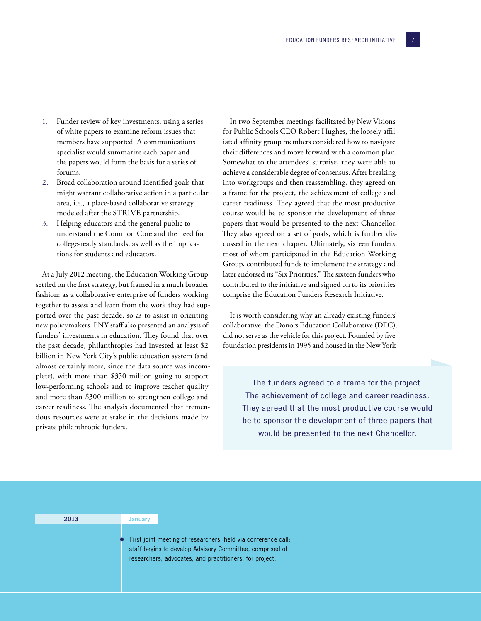- Funder review of key investments, using a series of white papers to examine reform issues that members have supported. A communications specialist would summarize each paper and the papers would form the basis for a series of forums.
- 2. Broad collaboration around identified goals that might warrant collaborative action in a particular area, i.e., a place-based collaborative strategy modeled after the STRIVE partnership.
- 3. Helping educators and the general public to understand the Common Core and the need for college-ready standards, as well as the implications for students and educators.

At a July 2012 meeting, the Education Working Group settled on the first strategy, but framed in a much broader fashion: as a collaborative enterprise of funders working together to assess and learn from the work they had supported over the past decade, so as to assist in orienting new policymakers. PNY staff also presented an analysis of funders' investments in education. They found that over the past decade, philanthropies had invested at least \$2 billion in New York City's public education system (and almost certainly more, since the data source was incomplete), with more than \$350 million going to support low-performing schools and to improve teacher quality and more than \$300 million to strengthen college and career readiness. The analysis documented that tremendous resources were at stake in the decisions made by private philanthropic funders.

In two September meetings facilitated by New Visions for Public Schools CEO Robert Hughes, the loosely affiliated affinity group members considered how to navigate their differences and move forward with a common plan. Somewhat to the attendees' surprise, they were able to achieve a considerable degree of consensus. After breaking into workgroups and then reassembling, they agreed on a frame for the project, the achievement of college and career readiness. They agreed that the most productive course would be to sponsor the development of three papers that would be presented to the next Chancellor. They also agreed on a set of goals, which is further discussed in the next chapter. Ultimately, sixteen funders, most of whom participated in the Education Working Group, contributed funds to implement the strategy and later endorsed its "Six Priorities." The sixteen funders who contributed to the initiative and signed on to its priorities comprise the Education Funders Research Initiative.

It is worth considering why an already existing funders' collaborative, the Donors Education Collaborative (DEC), did not serve as the vehicle for this project. Founded by five foundation presidents in 1995 and housed in the New York

> The funders agreed to a frame for the project: The achievement of college and career readiness. They agreed that the most productive course would be to sponsor the development of three papers that would be presented to the next Chancellor.

2013 January

First joint meeting of researchers; held via conference call; staff begins to develop Advisory Committee, comprised of researchers, advocates, and practitioners, for project.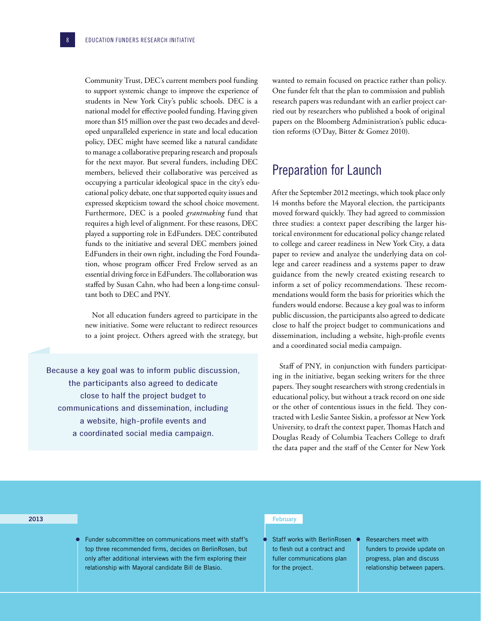Community Trust, DEC's current members pool funding to support systemic change to improve the experience of students in New York City's public schools. DEC is a national model for effective pooled funding. Having given more than \$15 million over the past two decades and developed unparalleled experience in state and local education policy, DEC might have seemed like a natural candidate to manage a collaborative preparing research and proposals for the next mayor. But several funders, including DEC members, believed their collaborative was perceived as occupying a particular ideological space in the city's educational policy debate, one that supported equity issues and expressed skepticism toward the school choice movement. Furthermore, DEC is a pooled *grantmaking* fund that requires a high level of alignment. For these reasons, DEC played a supporting role in EdFunders. DEC contributed funds to the initiative and several DEC members joined EdFunders in their own right, including the Ford Foundation, whose program officer Fred Frelow served as an essential driving force in EdFunders. The collaboration was staffed by Susan Cahn, who had been a long-time consultant both to DEC and PNY.

Not all education funders agreed to participate in the new initiative. Some were reluctant to redirect resources to a joint project. Others agreed with the strategy, but

Because a key goal was to inform public discussion, the participants also agreed to dedicate close to half the project budget to communications and dissemination, including a website, high-profile events and a coordinated social media campaign.

wanted to remain focused on practice rather than policy. One funder felt that the plan to commission and publish research papers was redundant with an earlier project carried out by researchers who published a book of original papers on the Bloomberg Administration's public education reforms (O'Day, Bitter & Gomez 2010).

### Preparation for Launch

After the September 2012 meetings, which took place only 14 months before the Mayoral election, the participants moved forward quickly. They had agreed to commission three studies: a context paper describing the larger historical environment for educational policy change related to college and career readiness in New York City, a data paper to review and analyze the underlying data on college and career readiness and a systems paper to draw guidance from the newly created existing research to inform a set of policy recommendations. These recommendations would form the basis for priorities which the funders would endorse. Because a key goal was to inform public discussion, the participants also agreed to dedicate close to half the project budget to communications and dissemination, including a website, high-profile events and a coordinated social media campaign.

Staff of PNY, in conjunction with funders participating in the initiative, began seeking writers for the three papers. They sought researchers with strong credentials in educational policy, but without a track record on one side or the other of contentious issues in the field. They contracted with Leslie Santee Siskin, a professor at New York University, to draft the context paper, Thomas Hatch and Douglas Ready of Columbia Teachers College to draft the data paper and the staff of the Center for New York

#### 2013

Funder subcommittee on communications meet with staff's top three recommended firms, decides on BerlinRosen, but only after additional interviews with the firm exploring their relationship with Mayoral candidate Bill de Blasio.

#### **February**

- Staff works with BerlinRosen  $\bullet$ to flesh out a contract and fuller communications plan for the project.
- Researchers meet with funders to provide update on progress, plan and discuss relationship between papers.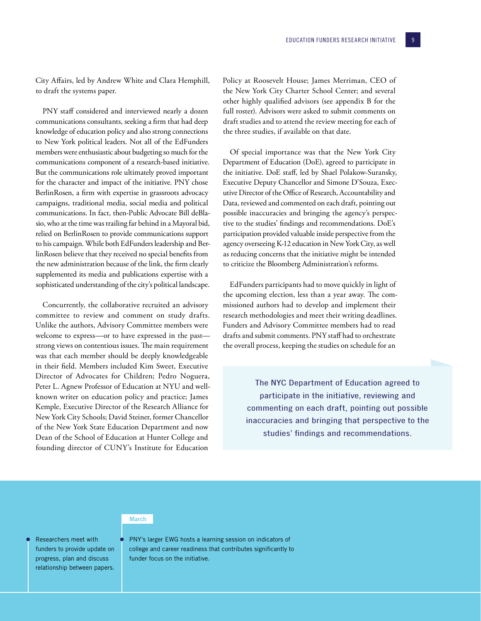City Affairs, led by Andrew White and Clara Hemphill, to draft the systems paper.

PNY staff considered and interviewed nearly a dozen communications consultants, seeking a firm that had deep knowledge of education policy and also strong connections to New York political leaders. Not all of the EdFunders members were enthusiastic about budgeting so much for the communications component of a research-based initiative. But the communications role ultimately proved important for the character and impact of the initiative. PNY chose BerlinRosen, a firm with expertise in grassroots advocacy campaigns, traditional media, social media and political communications. In fact, then-Public Advocate Bill deBlasio, who at the time was trailing far behind in a Mayoral bid, relied on BerlinRosen to provide communications support to his campaign. While both EdFunders leadership and BerlinRosen believe that they received no special benefits from the new administration because of the link, the firm clearly supplemented its media and publications expertise with a sophisticated understanding of the city's political landscape.

Concurrently, the collaborative recruited an advisory committee to review and comment on study drafts. Unlike the authors, [Advisory Committee](http://edfundersresearch.org/about/overview) members were welcome to express—or to have expressed in the past strong views on contentious issues. The main requirement was that each member should be deeply knowledgeable in their field. Members included Kim Sweet, Executive Director of Advocates for Children; Pedro Noguera, Peter L. Agnew Professor of Education at NYU and wellknown writer on education policy and practice; James Kemple, Executive Director of the Research Alliance for New York City Schools; David Steiner, former Chancellor of the New York State Education Department and now Dean of the School of Education at Hunter College and founding director of CUNY's Institute for Education

Policy at Roosevelt House; James Merriman, CEO of the New York City Charter School Center; and several other highly qualified advisors (see appendix B for the full roster). Advisors were asked to submit comments on draft studies and to attend the review meeting for each of the three studies, if available on that date.

Of special importance was that the New York City Department of Education (DoE), agreed to participate in the initiative. DoE staff, led by Shael Polakow-Suransky, Executive Deputy Chancellor and Simone D'Souza, Executive Director of the Office of Research, Accountability and Data, reviewed and commented on each draft, pointing out possible inaccuracies and bringing the agency's perspective to the studies' findings and recommendations. DoE's participation provided valuable inside perspective from the agency overseeing K-12 education in New York City, as well as reducing concerns that the initiative might be intended to criticize the Bloomberg Administration's reforms.

EdFunders participants had to move quickly in light of the upcoming election, less than a year away. The commissioned authors had to develop and implement their research methodologies and meet their writing deadlines. Funders and Advisory Committee members had to read drafts and submit comments. PNY staff had to orchestrate the overall process, keeping the studies on schedule for an

> The NYC Department of Education agreed to participate in the initiative, reviewing and commenting on each draft, pointing out possible inaccuracies and bringing that perspective to the studies' findings and recommendations.

#### March

Researchers meet with funders to provide update on progress, plan and discuss relationship between papers.

PNY's larger EWG hosts a learning session on indicators of college and career readiness that contributes significantly to funder focus on the initiative.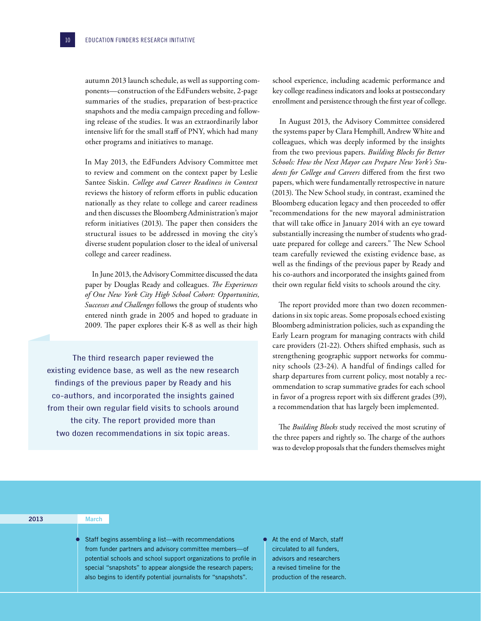autumn 2013 launch schedule, as well as supporting components—construction of the EdFunders website, 2-page summaries of the studies, preparation of best-practice snapshots and the media campaign preceding and following release of the studies. It was an extraordinarily labor intensive lift for the small staff of PNY, which had many other programs and initiatives to manage.

In May 2013, the EdFunders Advisory Committee met to review and comment on the context paper by Leslie Santee Siskin. *[College and Career Readiness in Context](http://edfundersresearch.org/research/college-and-career-readiness-context)* reviews the history of reform efforts in public education nationally as they relate to college and career readiness and then discusses the Bloomberg Administration's major reform initiatives (2013). The paper then considers the structural issues to be addressed in moving the city's diverse student population closer to the ideal of universal college and career readiness.

In June 2013, the Advisory Committee discussed the data paper by Douglas Ready and colleagues. *[The Experiences](http://edfundersresearch.org/research/new-york-city-schools-following-learning-trajectories-cohort)  [of One New York City High School Cohort: Opportunities,](http://edfundersresearch.org/research/new-york-city-schools-following-learning-trajectories-cohort)  [Successes and Challenges](http://edfundersresearch.org/research/new-york-city-schools-following-learning-trajectories-cohort)* follows the group of students who entered ninth grade in 2005 and hoped to graduate in 2009. The paper explores their K-8 as well as their high

The third research paper reviewed the existing evidence base, as well as the new research findings of the previous paper by Ready and his co-authors, and incorporated the insights gained from their own regular field visits to schools around the city. The report provided more than two dozen recommendations in six topic areas.

school experience, including academic performance and key college readiness indicators and looks at postsecondary enrollment and persistence through the first year of college.

In August 2013, the Advisory Committee considered the systems paper by Clara Hemphill, Andrew White and colleagues, which was deeply informed by the insights from the two previous papers. *[Building Blocks for Better](http://edfundersresearch.org/research/building-blocks-better-schools)  [Schools: How the Next Mayor can Prepare New York's Stu](http://edfundersresearch.org/research/building-blocks-better-schools)[dents for College and Careers](http://edfundersresearch.org/research/building-blocks-better-schools)* differed from the first two papers, which were fundamentally retrospective in nature (2013). The New School study, in contrast, examined the Bloomberg education legacy and then proceeded to offer "recommendations for the new mayoral administration that will take office in January 2014 with an eye toward substantially increasing the number of students who graduate prepared for college and careers." The New School team carefully reviewed the existing evidence base, as well as the findings of the previous paper by Ready and his co-authors and incorporated the insights gained from their own regular field visits to schools around the city.

The report provided more than two dozen recommendations in six topic areas. Some proposals echoed existing Bloomberg administration policies, such as expanding the Early Learn program for managing contracts with child care providers (21-22). Others shifted emphasis, such as strengthening geographic support networks for community schools (23-24). A handful of findings called for sharp departures from current policy, most notably a recommendation to scrap summative grades for each school in favor of a progress report with six different grades (39), a recommendation that has largely been implemented.

The *Building Blocks* study received the most scrutiny of the three papers and rightly so. The charge of the authors was to develop proposals that the funders themselves might

2013

**March** 

Staff begins assembling a list—with recommendations from funder partners and advisory committee members—of potential schools and school support organizations to profile in special "snapshots" to appear alongside the research papers; also begins to identify potential journalists for "snapshots".

At the end of March, staff circulated to all funders, advisors and researchers a revised timeline for the production of the research.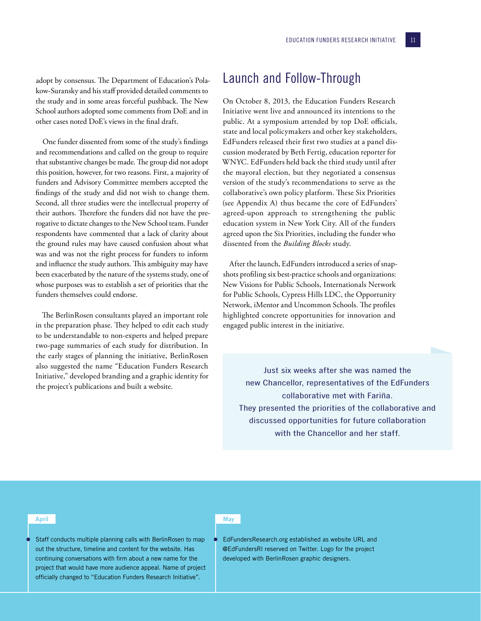adopt by consensus. The Department of Education's Polakow-Suransky and his staff provided detailed comments to the study and in some areas forceful pushback. The New School authors adopted some comments from DoE and in other cases noted DoE's views in the final draft.

One funder dissented from some of the study's findings and recommendations and called on the group to require that substantive changes be made. The group did not adopt this position, however, for two reasons. First, a majority of funders and Advisory Committee members accepted the findings of the study and did not wish to change them. Second, all three studies were the intellectual property of their authors. Therefore the funders did not have the prerogative to dictate changes to the New School team. Funder respondents have commented that a lack of clarity about the ground rules may have caused confusion about what was and was not the right process for funders to inform and influence the study authors. This ambiguity may have been exacerbated by the nature of the systems study, one of whose purposes was to establish a set of priorities that the funders themselves could endorse.

The BerlinRosen consultants played an important role in the preparation phase. They helped to edit each study to be understandable to non-experts and helped prepare two-page summaries of each study for distribution. In the early stages of planning the initiative, BerlinRosen also suggested the name "Education Funders Research Initiative," developed branding and a graphic identity for the project's publications and built a website.

### Launch and Follow-Through

On October 8, 2013, the Education Funders Research Initiative went live and announced its intentions to the public. At a symposium attended by top DoE officials, state and local policymakers and other key stakeholders, EdFunders released their first two studies at a panel discussion moderated by Beth Fertig, education reporter for WNYC. EdFunders held back the third study until after the mayoral election, but they negotiated a consensus version of the study's recommendations to serve as the collaborative's own policy platform. These Six Priorities (see Appendix A) thus became the core of EdFunders' agreed-upon approach to strengthening the public education system in New York City. All of the funders agreed upon the Six Priorities, including the funder who dissented from the *Building Blocks* study.

After the launch, EdFunders introduced a series of snapshots profiling six best-practice schools and organizations: New Visions for Public Schools, Internationals Network for Public Schools, Cypress Hills LDC, the Opportunity Network, iMentor and Uncommon Schools. The profiles highlighted concrete opportunities for innovation and engaged public interest in the initiative.

Just six weeks after she was named the new Chancellor, representatives of the EdFunders collaborative met with Fariña. They presented the priorities of the collaborative and discussed opportunities for future collaboration with the Chancellor and her staff.

#### April

Staff conducts multiple planning calls with BerlinRosen to map out the structure, timeline and content for the website. Has continuing conversations with firm about a new name for the project that would have more audience appeal. Name of project officially changed to "Education Funders Research Initiative".

#### May

EdFundersResearch.org established as website URL and @EdFundersRI reserved on Twitter. Logo for the project developed with BerlinRosen graphic designers.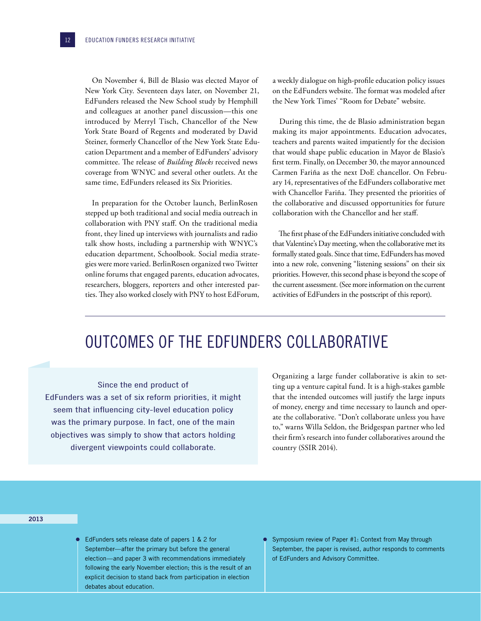On November 4, Bill de Blasio was elected Mayor of New York City. Seventeen days later, on November 21, EdFunders released the New School study by Hemphill and colleagues at another panel discussion—this one introduced by Merryl Tisch, Chancellor of the New York State Board of Regents and moderated by David Steiner, formerly Chancellor of the New York State Education Department and a member of EdFunders' advisory committee. The release of *Building Blocks* received news coverage from WNYC and several other outlets. At the same time, EdFunders released its Six Priorities.

In preparation for the October launch, BerlinRosen stepped up both traditional and social media outreach in collaboration with PNY staff. On the traditional media front, they lined up interviews with journalists and radio talk show hosts, including a partnership with WNYC's education department, Schoolbook. Social media strategies were more varied. BerlinRosen organized two Twitter online forums that engaged parents, education advocates, researchers, bloggers, reporters and other interested parties. They also worked closely with PNY to host EdForum,

a weekly dialogue on high-profile education policy issues on the EdFunders website. The format was modeled after the New York Times' "Room for Debate" website.

During this time, the de Blasio administration began making its major appointments. Education advocates, teachers and parents waited impatiently for the decision that would shape public education in Mayor de Blasio's first term. Finally, on December 30, the mayor announced Carmen Fariña as the next DoE chancellor. On February 14, representatives of the EdFunders collaborative met with Chancellor Fariña. They presented the priorities of the collaborative and discussed opportunities for future collaboration with the Chancellor and her staff.

The first phase of the EdFunders initiative concluded with that Valentine's Day meeting, when the collaborative met its formally stated goals. Since that time, EdFunders has moved into a new role, convening "listening sessions" on their six priorities. However, this second phase is beyond the scope of the current assessment. (See more information on the current activities of EdFunders in the postscript of this report).

# OUTCOMES OF THE EDFUNDERS COLLABORATIVE

Since the end product of

EdFunders was a set of six reform priorities, it might seem that influencing city-level education policy was the primary purpose. In fact, one of the main objectives was simply to show that actors holding divergent viewpoints could collaborate.

Organizing a large funder collaborative is akin to setting up a venture capital fund. It is a high-stakes gamble that the intended outcomes will justify the large inputs of money, energy and time necessary to launch and operate the collaborative. "Don't collaborate unless you have to," warns Willa Seldon, the Bridgespan partner who led their firm's research into funder collaboratives around the country (SSIR 2014).

2013

- EdFunders sets release date of papers 1 & 2 for September—after the primary but before the general election—and paper 3 with recommendations immediately following the early November election; this is the result of an explicit decision to stand back from participation in election debates about education.
- Symposium review of Paper #1: Context from May through September, the paper is revised, author responds to comments of EdFunders and Advisory Committee.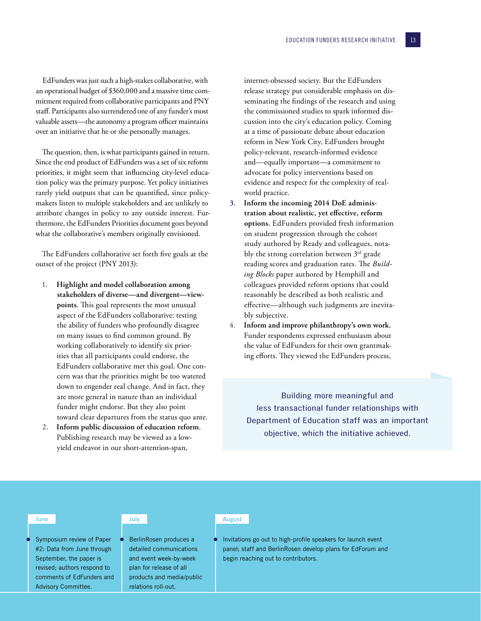EdFunders was just such a high-stakes collaborative, with an operational budget of \$360,000 and a massive time commitment required from collaborative participants and PNY staff. Participants also surrendered one of any funder's most valuable assets—the autonomy a program officer maintains over an initiative that he or she personally manages.

The question, then, is what participants gained in return. Since the end product of EdFunders was a set of six reform priorities, it might seem that influencing city-level education policy was the primary purpose. Yet policy initiatives rarely yield outputs that can be quantified, since policymakers listen to multiple stakeholders and are unlikely to attribute changes in policy to any outside interest. Furthermore, the EdFunders Priorities document goes beyond what the collaborative's members originally envisioned.

The EdFunders collaborative set forth five goals at the outset of the project (PNY 2013):

- 1. **Highlight and model collaboration among stakeholders of diverse—and divergent—viewpoints**. This goal represents the most unusual aspect of the EdFunders collaborative: testing the ability of funders who profoundly disagree on many issues to find common ground. By working collaboratively to identify six priorities that all participants could endorse, the EdFunders collaborative met this goal. One concern was that the priorities might be too watered down to engender real change. And in fact, they are more general in nature than an individual funder might endorse. But they also point toward clear departures from the status quo ante.
- 2. **Inform public discussion of education reform**. Publishing research may be viewed as a lowyield endeavor in our short-attention-span,

internet-obsessed society. But the EdFunders release strategy put considerable emphasis on disseminating the findings of the research and using the commissioned studies to spark informed discussion into the city's education policy. Coming at a time of passionate debate about education reform in New York City, EdFunders brought policy-relevant, research-informed evidence and—equally important—a commitment to advocate for policy interventions based on evidence and respect for the complexity of realworld practice.

- **3. Inform the incoming 2014 DoE administration about realistic, yet effective, reform options.** EdFunders provided fresh information on student progression through the cohort study authored by Ready and colleagues, notably the strong correlation between  $3<sup>rd</sup>$  grade reading scores and graduation rates. The *Building Blocks* paper authored by Hemphill and colleagues provided reform options that could reasonably be described as both realistic and effective—although such judgments are inevitably subjective.
- 4. **Inform and improve philanthropy's own work.**  Funder respondents expressed enthusiasm about the value of EdFunders for their own grantmaking efforts. They viewed the EdFunders process,

Building more meaningful and less transactional funder relationships with Department of Education staff was an important objective, which the initiative achieved.

#### **June**

Symposium review of Paper #2: Data from June through September, the paper is revised; authors respond to comments of EdFunders and Advisory Committee.

#### July

BerlinRosen produces a detailed communications and event week-by-week plan for release of all products and media/public relations roll-out.

#### August

Invitations go out to high-profile speakers for launch event panel; staff and BerlinRosen develop plans for EdForum and begin reaching out to contributors.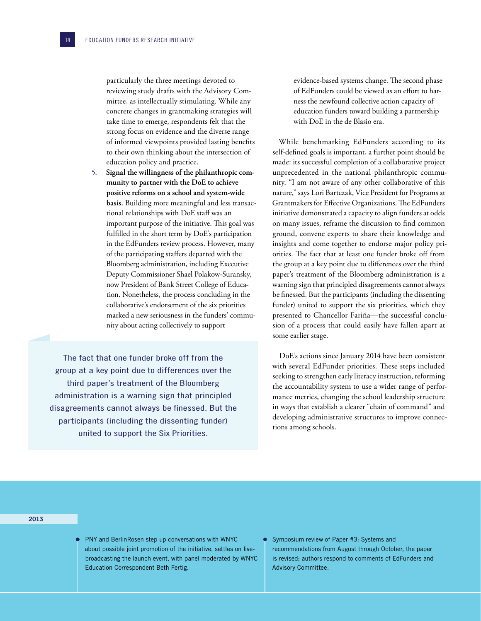particularly the three meetings devoted to reviewing study drafts with the Advisory Committee, as intellectually stimulating. While any concrete changes in grantmaking strategies will take time to emerge, respondents felt that the strong focus on evidence and the diverse range of informed viewpoints provided lasting benefits to their own thinking about the intersection of education policy and practice.

5. **Signal the willingness of the philanthropic community to partner with the DoE to achieve positive reforms on a school and system-wide basis.** Building more meaningful and less transactional relationships with DoE staff was an important purpose of the initiative. This goal was fulfilled in the short term by DoE's participation in the EdFunders review process. However, many of the participating staffers departed with the Bloomberg administration, including Executive Deputy Commissioner Shael Polakow-Suransky, now President of Bank Street College of Education. Nonetheless, the process concluding in the collaborative's endorsement of the six priorities marked a new seriousness in the funders' community about acting collectively to support

The fact that one funder broke off from the group at a key point due to differences over the third paper's treatment of the Bloomberg administration is a warning sign that principled disagreements cannot always be finessed. But the participants (including the dissenting funder) united to support the Six Priorities.

evidence-based systems change. The second phase of EdFunders could be viewed as an effort to harness the newfound collective action capacity of education funders toward building a partnership with DoE in the de Blasio era.

While benchmarking EdFunders according to its self-defined goals is important, a further point should be made: its successful completion of a collaborative project unprecedented in the national philanthropic community. "I am not aware of any other collaborative of this nature," says Lori Bartczak, Vice President for Programs at Grantmakers for Effective Organizations. The EdFunders initiative demonstrated a capacity to align funders at odds on many issues, reframe the discussion to find common ground, convene experts to share their knowledge and insights and come together to endorse major policy priorities. The fact that at least one funder broke off from the group at a key point due to differences over the third paper's treatment of the Bloomberg administration is a warning sign that principled disagreements cannot always be finessed. But the participants (including the dissenting funder) united to support the six priorities, which they presented to Chancellor Fariña—the successful conclusion of a process that could easily have fallen apart at some earlier stage.

DoE's actions since January 2014 have been consistent with several EdFunder priorities. These steps included seeking to strengthen early literacy instruction, reforming the accountability system to use a wider range of performance metrics, changing the school leadership structure in ways that establish a clearer "chain of command" and developing administrative structures to improve connections among schools.

2013

- PNY and BerlinRosen step up conversations with WNYC about possible joint promotion of the initiative, settles on livebroadcasting the launch event, with panel moderated by WNYC Education Correspondent Beth Fertig.
- **•** Symposium review of Paper #3: Systems and recommendations from August through October, the paper is revised; authors respond to comments of EdFunders and Advisory Committee.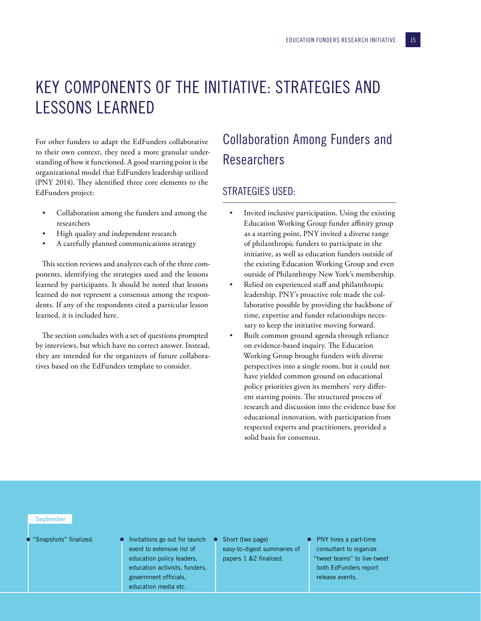# KEY COMPONENTS OF THE INITIATIVE: STRATEGIES AND LESSONS LEARNED

For other funders to adapt the EdFunders collaborative to their own context, they need a more granular understanding of how it functioned. A good starting point is the organizational model that EdFunders leadership utilized (PNY 2014). They identified three core elements to the EdFunders project:

- Collaboration among the funders and among the researchers
- High quality and independent research
- A carefully planned communications strategy

This section reviews and analyzes each of the three components, identifying the strategies used and the lessons learned by participants. It should be noted that lessons learned do not represent a consensus among the respondents. If any of the respondents cited a particular lesson learned, it is included here.

The section concludes with a set of questions prompted by interviews, but which have no correct answer. Instead, they are intended for the organizers of future collaboratives based on the EdFunders template to consider.

# Collaboration Among Funders and Researchers

### STRATEGIES USED:

- Invited inclusive participation. Using the existing Education Working Group funder affinity group as a starting point, PNY invited a diverse range of philanthropic funders to participate in the initiative, as well as education funders outside of the existing Education Working Group and even outside of Philanthropy New York's membership.
- Relied on experienced staff and philanthropic leadership. PNY's proactive role made the collaborative possible by providing the backbone of time, expertise and funder relationships necessary to keep the initiative moving forward.
- Built common ground agenda through reliance on evidence-based inquiry. The Education Working Group brought funders with diverse perspectives into a single room, but it could not have yielded common ground on educational policy priorities given its members' very different starting points. The structured process of research and discussion into the evidence base for educational innovation, with participation from respected experts and practitioners, provided a solid basis for consensus.

September

"Snapshots" finalized.  $\bullet$  Invitations go out for launch  $\bullet$ event to extensive list of education policy leaders, education activists, funders, government officials, education media etc.

Short (two page) easy-to-digest summaries of papers 1 &2 finalized.

PNY hires a part-time consultant to organize "tweet teams" to live-tweet both EdFunders report release events.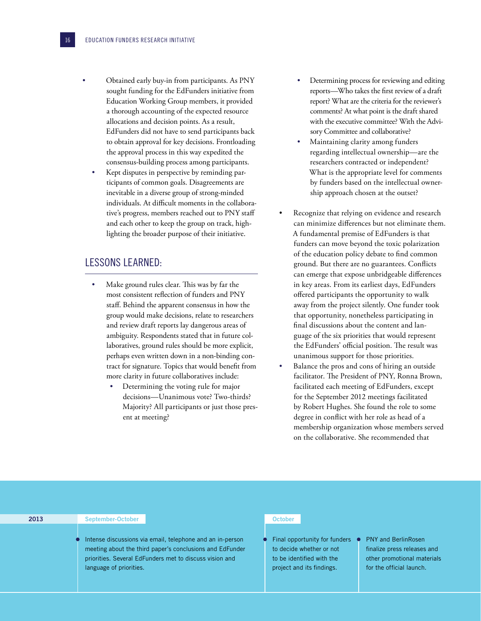- Obtained early buy-in from participants. As PNY sought funding for the EdFunders initiative from Education Working Group members, it provided a thorough accounting of the expected resource allocations and decision points. As a result, EdFunders did not have to send participants back to obtain approval for key decisions. Frontloading the approval process in this way expedited the consensus-building process among participants.
	- Kept disputes in perspective by reminding participants of common goals. Disagreements are inevitable in a diverse group of strong-minded individuals. At difficult moments in the collaborative's progress, members reached out to PNY staff and each other to keep the group on track, highlighting the broader purpose of their initiative.

### LESSONS LEARNED:

- Make ground rules clear. This was by far the most consistent reflection of funders and PNY staff. Behind the apparent consensus in how the group would make decisions, relate to researchers and review draft reports lay dangerous areas of ambiguity. Respondents stated that in future collaboratives, ground rules should be more explicit, perhaps even written down in a non-binding contract for signature. Topics that would benefit from more clarity in future collaboratives include:
	- Determining the voting rule for major decisions—Unanimous vote? Two-thirds? Majority? All participants or just those present at meeting?
- Determining process for reviewing and editing reports—Who takes the first review of a draft report? What are the criteria for the reviewer's comments? At what point is the draft shared with the executive committee? With the Advisory Committee and collaborative?
- Maintaining clarity among funders regarding intellectual ownership—are the researchers contracted or independent? What is the appropriate level for comments by funders based on the intellectual ownership approach chosen at the outset?
- Recognize that relying on evidence and research can minimize differences but not eliminate them. A fundamental premise of EdFunders is that funders can move beyond the toxic polarization of the education policy debate to find common ground. But there are no guarantees. Conflicts can emerge that expose unbridgeable differences in key areas. From its earliest days, EdFunders offered participants the opportunity to walk away from the project silently. One funder took that opportunity, nonetheless participating in final discussions about the content and language of the six priorities that would represent the EdFunders' official position. The result was unanimous support for those priorities.
- Balance the pros and cons of hiring an outside facilitator. The President of PNY, Ronna Brown, facilitated each meeting of EdFunders, except for the September 2012 meetings facilitated by Robert Hughes. She found the role to some degree in conflict with her role as head of a membership organization whose members served on the collaborative. She recommended that

#### September-October

Intense discussions via email, telephone and an in-person meeting about the third paper's conclusions and EdFunder priorities. Several EdFunders met to discuss vision and language of priorities.

#### **October**

Final opportunity for funders  $\bullet$ to decide whether or not to be identified with the project and its findings.

PNY and BerlinRosen finalize press releases and other promotional materials for the official launch.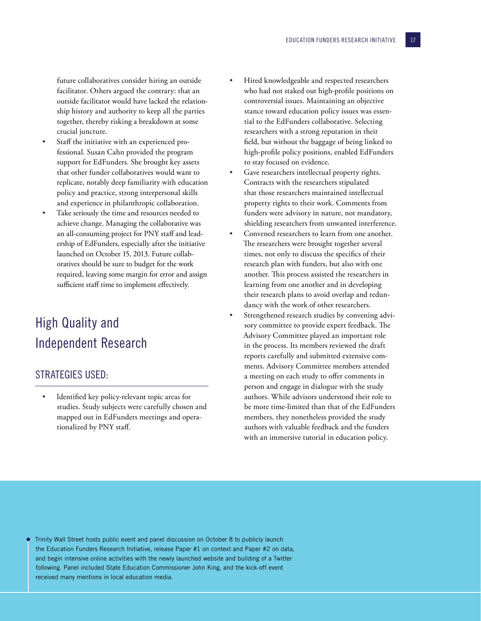future collaboratives consider hiring an outside facilitator. Others argued the contrary: that an outside facilitator would have lacked the relationship history and authority to keep all the parties together, thereby risking a breakdown at some crucial juncture.

- Staff the initiative with an experienced professional. Susan Cahn provided the program support for EdFunders. She brought key assets that other funder collaboratives would want to replicate, notably deep familiarity with education policy and practice, strong interpersonal skills and experience in philanthropic collaboration.
- Take seriously the time and resources needed to achieve change. Managing the collaborative was an all-consuming project for PNY staff and leadership of EdFunders, especially after the initiative launched on October 15, 2013. Future collaboratives should be sure to budget for the work required, leaving some margin for error and assign sufficient staff time to implement effectively.

# High Quality and Independent Research

### STRATEGIES USED:

Identified key policy-relevant topic areas for studies. Study subjects were carefully chosen and mapped out in EdFunders meetings and operationalized by PNY staff.

- Hired knowledgeable and respected researchers who had not staked out high-profile positions on controversial issues. Maintaining an objective stance toward education policy issues was essential to the EdFunders collaborative. Selecting researchers with a strong reputation in their field, but without the baggage of being linked to high-profile policy positions, enabled EdFunders to stay focused on evidence.
- Gave researchers intellectual property rights. Contracts with the researchers stipulated that those researchers maintained intellectual property rights to their work. Comments from funders were advisory in nature, not mandatory, shielding researchers from unwanted interference.
- Convened researchers to learn from one another. The researchers were brought together several times, not only to discuss the specifics of their research plan with funders, but also with one another. This process assisted the researchers in learning from one another and in developing their research plans to avoid overlap and redundancy with the work of other researchers.
- Strengthened research studies by convening advisory committee to provide expert feedback. The Advisory Committee played an important role in the process. Its members reviewed the draft reports carefully and submitted extensive comments. Advisory Committee members attended a meeting on each study to offer comments in person and engage in dialogue with the study authors. While advisors understood their role to be more time-limited than that of the EdFunders members, they nonetheless provided the study authors with valuable feedback and the funders with an immersive tutorial in education policy.

Trinity Wall Street hosts public event and panel discussion on October 8 to publicly launch the Education Funders Research Initiative, release Paper #1 on context and Paper #2 on data, and begin intensive online activities with the newly launched website and building of a Twitter following. Panel included State Education Commissioner John King, and the kick-off event received many mentions in local education media.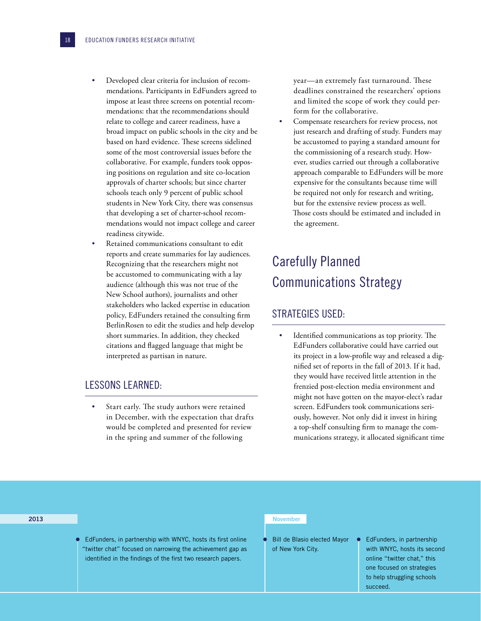- Developed clear criteria for inclusion of recommendations. Participants in EdFunders agreed to impose at least three screens on potential recommendations: that the recommendations should relate to college and career readiness, have a broad impact on public schools in the city and be based on hard evidence. These screens sidelined some of the most controversial issues before the collaborative. For example, funders took opposing positions on regulation and site co-location approvals of charter schools; but since charter schools teach only 9 percent of public school students in New York City, there was consensus that developing a set of charter-school recommendations would not impact college and career readiness citywide.
- Retained communications consultant to edit reports and create summaries for lay audiences. Recognizing that the researchers might not be accustomed to communicating with a lay audience (although this was not true of the New School authors), journalists and other stakeholders who lacked expertise in education policy, EdFunders retained the consulting firm BerlinRosen to edit the studies and help develop short summaries. In addition, they checked citations and flagged language that might be interpreted as partisan in nature.

### LESSONS LEARNED:

Start early. The study authors were retained in December, with the expectation that drafts would be completed and presented for review in the spring and summer of the following

year—an extremely fast turnaround. These deadlines constrained the researchers' options and limited the scope of work they could perform for the collaborative.

• Compensate researchers for review process, not just research and drafting of study. Funders may be accustomed to paying a standard amount for the commissioning of a research study. However, studies carried out through a collaborative approach comparable to EdFunders will be more expensive for the consultants because time will be required not only for research and writing, but for the extensive review process as well. Those costs should be estimated and included in the agreement.

# Carefully Planned Communications Strategy

### STRATEGIES USED:

Identified communications as top priority. The EdFunders collaborative could have carried out its project in a low-profile way and released a dignified set of reports in the fall of 2013. If it had, they would have received little attention in the frenzied post-election media environment and might not have gotten on the mayor-elect's radar screen. EdFunders took communications seriously, however. Not only did it invest in hiring a top-shelf consulting firm to manage the communications strategy, it allocated significant time

#### 2013

EdFunders, in partnership with WNYC, hosts its first online "twitter chat" focused on narrowing the achievement gap as identified in the findings of the first two research papers.

#### November

- Bill de Blasio elected Mayor  $\bullet$ of New York City.
	- EdFunders, in partnership with WNYC, hosts its second online "twitter chat," this one focused on strategies to help struggling schools succeed.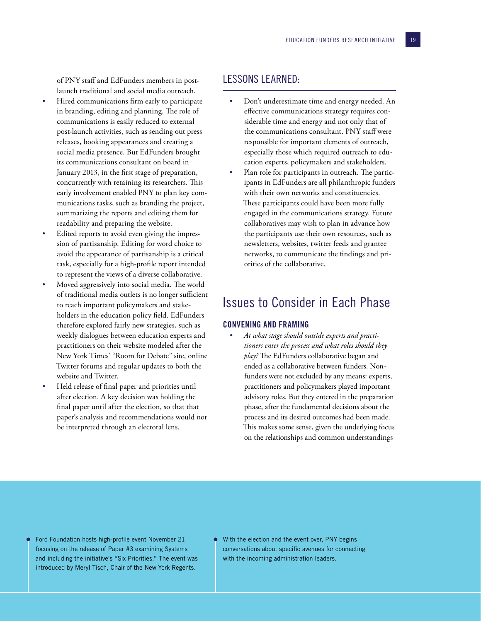of PNY staff and EdFunders members in postlaunch traditional and social media outreach.

- Hired communications firm early to participate in branding, editing and planning. The role of communications is easily reduced to external post-launch activities, such as sending out press releases, booking appearances and creating a social media presence. But EdFunders brought its communications consultant on board in January 2013, in the first stage of preparation, concurrently with retaining its researchers. This early involvement enabled PNY to plan key communications tasks, such as branding the project, summarizing the reports and editing them for readability and preparing the website.
- Edited reports to avoid even giving the impression of partisanship. Editing for word choice to avoid the appearance of partisanship is a critical task, especially for a high-profile report intended to represent the views of a diverse collaborative.
- Moved aggressively into social media. The world of traditional media outlets is no longer sufficient to reach important policymakers and stakeholders in the education policy field. EdFunders therefore explored fairly new strategies, such as weekly dialogues between education experts and practitioners on their website modeled after the New York Times' "Room for Debate" site, online Twitter forums and regular updates to both the website and Twitter.
- Held release of final paper and priorities until after election. A key decision was holding the final paper until after the election, so that that paper's analysis and recommendations would not be interpreted through an electoral lens.

### LESSONS LEARNED:

- Don't underestimate time and energy needed. An effective communications strategy requires considerable time and energy and not only that of the communications consultant. PNY staff were responsible for important elements of outreach, especially those which required outreach to education experts, policymakers and stakeholders.
- Plan role for participants in outreach. The participants in EdFunders are all philanthropic funders with their own networks and constituencies. These participants could have been more fully engaged in the communications strategy. Future collaboratives may wish to plan in advance how the participants use their own resources, such as newsletters, websites, twitter feeds and grantee networks, to communicate the findings and priorities of the collaborative.

### Issues to Consider in Each Phase

#### CONVENING AND FRAMING

*• At what stage should outside experts and practitioners enter the process and what roles should they play?* The EdFunders collaborative began and ended as a collaborative between funders. Nonfunders were not excluded by any means: experts, practitioners and policymakers played important advisory roles. But they entered in the preparation phase, after the fundamental decisions about the process and its desired outcomes had been made. This makes some sense, given the underlying focus on the relationships and common understandings

- Ford Foundation hosts high-profile event November 21 focusing on the release of Paper #3 examining Systems and including the initiative's "Six Priorities." The event was introduced by Meryl Tisch, Chair of the New York Regents.
- With the election and the event over, PNY begins conversations about specific avenues for connecting with the incoming administration leaders.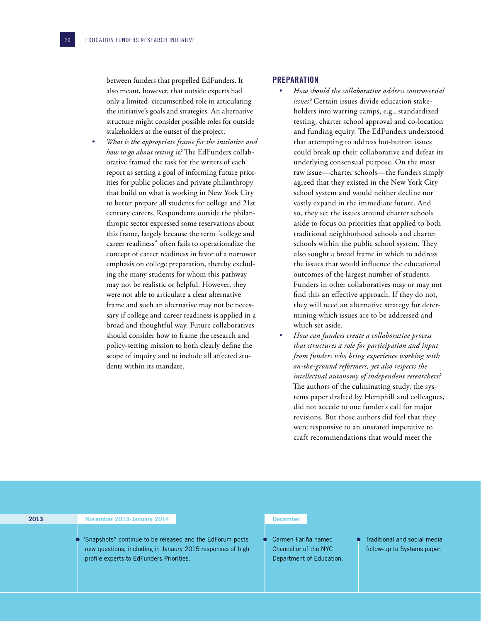between funders that propelled EdFunders. It also meant, however, that outside experts had only a limited, circumscribed role in articulating the initiative's goals and strategies. An alternative structure might consider possible roles for outside stakeholders at the outset of the project.

*• What is the appropriate frame for the initiative and how to go about setting it?* The EdFunders collaborative framed the task for the writers of each report as setting a goal of informing future priorities for public policies and private philanthropy that build on what is working in New York City to better prepare all students for college and 21st century careers. Respondents outside the philanthropic sector expressed some reservations about this frame, largely because the term "college and career readiness" often fails to operationalize the concept of career readiness in favor of a narrower emphasis on college preparation, thereby excluding the many students for whom this pathway may not be realistic or helpful. However, they were not able to articulate a clear alternative frame and such an alternative may not be necessary if college and career readiness is applied in a broad and thoughtful way. Future collaboratives should consider how to frame the research and policy-setting mission to both clearly define the scope of inquiry and to include all affected students within its mandate.

#### **PREPARATION**

- *• How should the collaborative address controversial issues?* Certain issues divide education stakeholders into warring camps, e.g., standardized testing, charter school approval and co-location and funding equity. The EdFunders understood that attempting to address hot-button issues could break up their collaborative and defeat its underlying consensual purpose. On the most raw issue—charter schools—the funders simply agreed that they existed in the New York City school system and would neither decline nor vastly expand in the immediate future. And so, they set the issues around charter schools aside to focus on priorities that applied to both traditional neighborhood schools and charter schools within the public school system. They also sought a broad frame in which to address the issues that would influence the educational outcomes of the largest number of students. Funders in other collaboratives may or may not find this an effective approach. If they do not, they will need an alternative strategy for determining which issues are to be addressed and which set aside.
- *• How can funders create a collaborative process that structures a role for participation and input from funders who bring experience working with on-the-ground reformers, yet also respects the intellectual autonomy of independent researchers?* The authors of the culminating study, the systems paper drafted by Hemphill and colleagues, did not accede to one funder's call for major revisions. But those authors did feel that they were responsive to an unstated imperative to craft recommendations that would meet the

#### November 2013-January 2014

"Snapshots" continue to be released and the EdForum posts new questions; including in Janaury 2015 responses of high profile experts to EdFunders Priorities.

#### December

Carmen Fariña named Chancellor of the NYC Department of Education. Traditional and social media follow-up to Systems paper.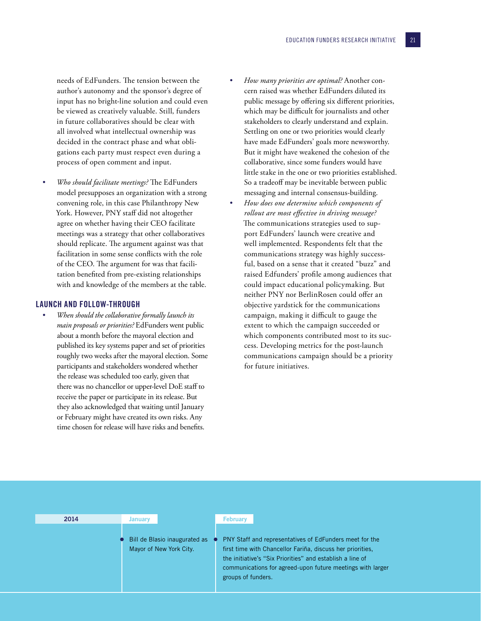needs of EdFunders. The tension between the author's autonomy and the sponsor's degree of input has no bright-line solution and could even be viewed as creatively valuable. Still, funders in future collaboratives should be clear with all involved what intellectual ownership was decided in the contract phase and what obligations each party must respect even during a process of open comment and input.

*• Who should facilitate meetings?* The EdFunders model presupposes an organization with a strong convening role, in this case Philanthropy New York. However, PNY staff did not altogether agree on whether having their CEO facilitate meetings was a strategy that other collaboratives should replicate. The argument against was that facilitation in some sense conflicts with the role of the CEO. The argument for was that facilitation benefited from pre-existing relationships with and knowledge of the members at the table.

#### LAUNCH AND FOLLOW-THROUGH

*• When should the collaborative formally launch its main proposals or priorities?* EdFunders went public about a month before the mayoral election and published its key systems paper and set of priorities roughly two weeks after the mayoral election. Some participants and stakeholders wondered whether the release was scheduled too early, given that there was no chancellor or upper-level DoE staff to receive the paper or participate in its release. But they also acknowledged that waiting until January or February might have created its own risks. Any time chosen for release will have risks and benefits.

- *• How many priorities are optimal?* Another concern raised was whether EdFunders diluted its public message by offering six different priorities, which may be difficult for journalists and other stakeholders to clearly understand and explain. Settling on one or two priorities would clearly have made EdFunders' goals more newsworthy. But it might have weakened the cohesion of the collaborative, since some funders would have little stake in the one or two priorities established. So a tradeoff may be inevitable between public messaging and internal consensus-building.
- *• How does one determine which components of rollout are most effective in driving message?* The communications strategies used to support EdFunders' launch were creative and well implemented. Respondents felt that the communications strategy was highly successful, based on a sense that it created "buzz" and raised Edfunders' profile among audiences that could impact educational policymaking. But neither PNY nor BerlinRosen could offer an objective yardstick for the communications campaign, making it difficult to gauge the extent to which the campaign succeeded or which components contributed most to its success. Developing metrics for the post-launch communications campaign should be a priority for future initiatives.

### 2014 January Bill de Blasio inaugurated as  $\bullet$ Mayor of New York City. **February** PNY Staff and representatives of EdFunders meet for the first time with Chancellor Fariña, discuss her priorities, the initiative's "Six Priorities" and establish a line of communications for agreed-upon future meetings with larger groups of funders.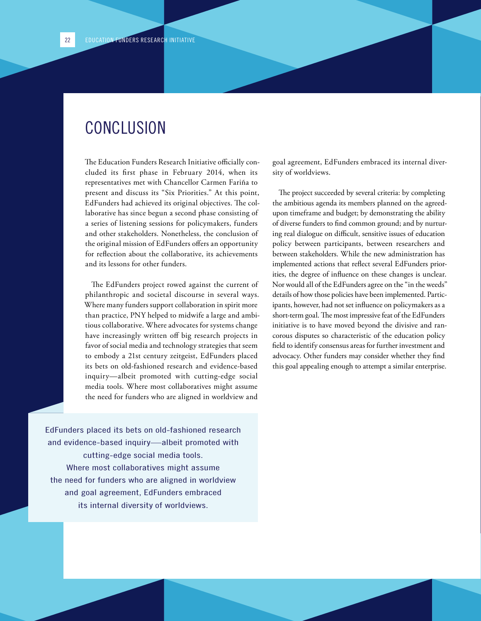# **CONCLUSION**

The Education Funders Research Initiative officially concluded its first phase in February 2014, when its representatives met with Chancellor Carmen Fariña to present and discuss its "Six Priorities." At this point, EdFunders had achieved its original objectives. The collaborative has since begun a second phase consisting of a series of listening sessions for policymakers, funders and other stakeholders. Nonetheless, the conclusion of the original mission of EdFunders offers an opportunity for reflection about the collaborative, its achievements and its lessons for other funders.

The EdFunders project rowed against the current of philanthropic and societal discourse in several ways. Where many funders support collaboration in spirit more than practice, PNY helped to midwife a large and ambitious collaborative. Where advocates for systems change have increasingly written off big research projects in favor of social media and technology strategies that seem to embody a 21st century zeitgeist, EdFunders placed its bets on old-fashioned research and evidence-based inquiry—albeit promoted with cutting-edge social media tools. Where most collaboratives might assume the need for funders who are aligned in worldview and

EdFunders placed its bets on old-fashioned research and evidence-based inquiry—albeit promoted with cutting-edge social media tools. Where most collaboratives might assume the need for funders who are aligned in worldview and goal agreement, EdFunders embraced its internal diversity of worldviews.

goal agreement, EdFunders embraced its internal diversity of worldviews.

The project succeeded by several criteria: by completing the ambitious agenda its members planned on the agreedupon timeframe and budget; by demonstrating the ability of diverse funders to find common ground; and by nurturing real dialogue on difficult, sensitive issues of education policy between participants, between researchers and between stakeholders. While the new administration has implemented actions that reflect several EdFunders priorities, the degree of influence on these changes is unclear. Nor would all of the EdFunders agree on the "in the weeds" details of how those policies have been implemented. Participants, however, had not set influence on policymakers as a short-term goal. The most impressive feat of the EdFunders initiative is to have moved beyond the divisive and rancorous disputes so characteristic of the education policy field to identify consensus areas for further investment and advocacy. Other funders may consider whether they find this goal appealing enough to attempt a similar enterprise.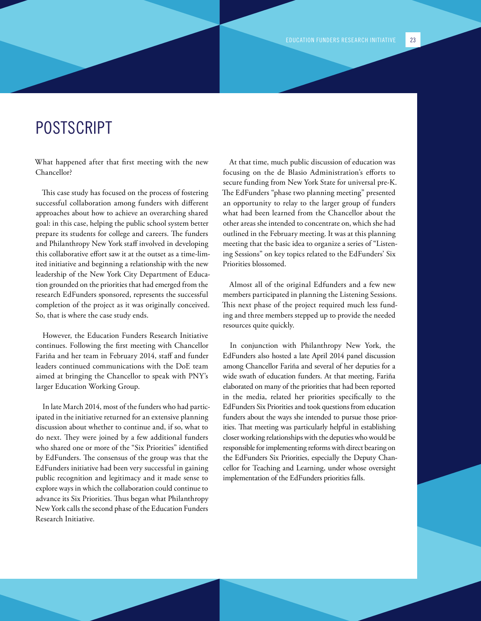# POSTSCRIPT

What happened after that first meeting with the new Chancellor?

This case study has focused on the process of fostering successful collaboration among funders with different approaches about how to achieve an overarching shared goal: in this case, helping the public school system better prepare its students for college and careers. The funders and Philanthropy New York staff involved in developing this collaborative effort saw it at the outset as a time-limited initiative and beginning a relationship with the new leadership of the New York City Department of Education grounded on the priorities that had emerged from the research EdFunders sponsored, represents the successful completion of the project as it was originally conceived. So, that is where the case study ends.

However, the Education Funders Research Initiative continues. Following the first meeting with Chancellor Fariña and her team in February 2014, staff and funder leaders continued communications with the DoE team aimed at bringing the Chancellor to speak with PNY's larger Education Working Group.

In late March 2014, most of the funders who had participated in the initiative returned for an extensive planning discussion about whether to continue and, if so, what to do next. They were joined by a few additional funders who shared one or more of the "Six Priorities" identified by EdFunders. The consensus of the group was that the EdFunders initiative had been very successful in gaining public recognition and legitimacy and it made sense to explore ways in which the collaboration could continue to advance its Six Priorities. Thus began what Philanthropy New York calls the second phase of the Education Funders Research Initiative.

At that time, much public discussion of education was focusing on the de Blasio Administration's efforts to secure funding from New York State for universal pre-K. The EdFunders "phase two planning meeting" presented an opportunity to relay to the larger group of funders what had been learned from the Chancellor about the other areas she intended to concentrate on, which she had outlined in the February meeting. It was at this planning meeting that the basic idea to organize a series of "Listening Sessions" on key topics related to the EdFunders' Six Priorities blossomed.

Almost all of the original Edfunders and a few new members participated in planning the Listening Sessions. This next phase of the project required much less funding and three members stepped up to provide the needed resources quite quickly.

In conjunction with Philanthropy New York, the EdFunders also hosted a late April 2014 panel discussion among Chancellor Fariña and several of her deputies for a wide swath of education funders. At that meeting, Fariña elaborated on many of the priorities that had been reported in the media, related her priorities specifically to the EdFunders Six Priorities and took questions from education funders about the ways she intended to pursue those priorities. That meeting was particularly helpful in establishing closer working relationships with the deputies who would be responsible for implementing reforms with direct bearing on the EdFunders Six Priorities, especially the Deputy Chancellor for Teaching and Learning, under whose oversight implementation of the EdFunders priorities falls.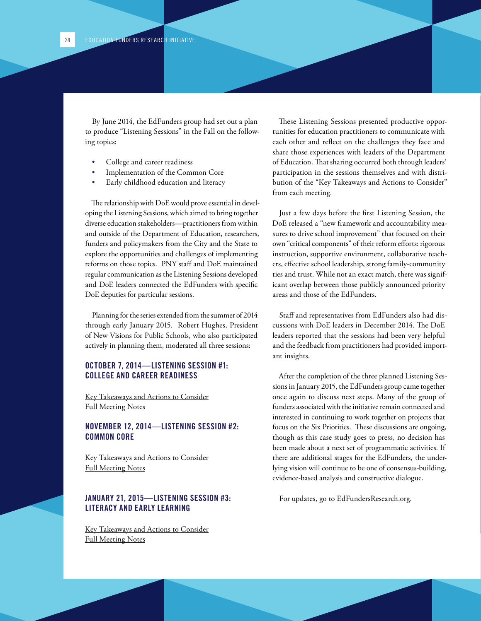By June 2014, the EdFunders group had set out a plan to produce "Listening Sessions" in the Fall on the following topics:

- College and career readiness
- Implementation of the Common Core
- Early childhood education and literacy

The relationship with DoE would prove essential in developing the Listening Sessions, which aimed to bring together diverse education stakeholders—practitioners from within and outside of the Department of Education, researchers, funders and policymakers from the City and the State to explore the opportunities and challenges of implementing reforms on those topics. PNY staff and DoE maintained regular communication as the Listening Sessions developed and DoE leaders connected the EdFunders with specific DoE deputies for particular sessions.

Planning for the series extended from the summer of 2014 through early January 2015. Robert Hughes, President of New Visions for Public Schools, who also participated actively in planning them, moderated all three sessions:

#### OCTOBER 7, 2014—LISTENING SESSION #1: COLLEGE AND CAREER READINESS

[Key Takeaways and Actions to Consider](https://philanthropynewyork.org/sites/default/files/OctListeningSession%20Readiness%201pager,%20FINAL_0.pdf) [Full Meeting Notes](https://philanthropynewyork.org/sites/default/files/Summary%20Oct%20%207--FINAL_0.pdf)

#### NOVEMBER 12, 2014—LISTENING SESSION #2: COMMON CORE

[Key Takeaways and Actions to Consider](https://philanthropynewyork.org/sites/default/files/ListeningSession%20CommonCore%201pager,%20FINAL_0.pdf) [Full Meeting Notes](https://philanthropynewyork.org/sites/default/files/Summary%20Nov%2012%20--%20FINAL_0.pdf)

### JANUARY 21, 2015—LISTENING SESSION #3: LITERACY AND EARLY LEARNING

[Key Takeaways and Actions to Consider](https://philanthropynewyork.org/sites/default/files/ListeningSession%20EarlyLearning%201pager,%20FINAL.pdf) [Full Meeting Notes](https://philanthropynewyork.org/sites/default/files/ListeningSession%20Early%20Learning,%20Full%20Notes,%20FINAL.pdf)

These Listening Sessions presented productive opportunities for education practitioners to communicate with each other and reflect on the challenges they face and share those experiences with leaders of the Department of Education. That sharing occurred both through leaders' participation in the sessions themselves and with distribution of the "Key Takeaways and Actions to Consider" from each meeting.

Just a few days before the first Listening Session, the DoE released a "new framework and accountability measures to drive school improvement" that focused on their own "critical components" of their reform efforts: rigorous instruction, supportive environment, collaborative teachers, effective school leadership, strong family-community ties and trust. While not an exact match, there was significant overlap between those publicly announced priority areas and those of the EdFunders.

Staff and representatives from EdFunders also had discussions with DoE leaders in December 2014. The DoE leaders reported that the sessions had been very helpful and the feedback from practitioners had provided important insights.

After the completion of the three planned Listening Sessions in January 2015, the EdFunders group came together once again to discuss next steps. Many of the group of funders associated with the initiative remain connected and interested in continuing to work together on projects that focus on the Six Priorities. These discussions are ongoing, though as this case study goes to press, no decision has been made about a next set of programmatic activities. If there are additional stages for the EdFunders, the underlying vision will continue to be one of consensus-building, evidence-based analysis and constructive dialogue.

For updates, go to [EdFundersResearch.org.](http://edfundersresearch.org/)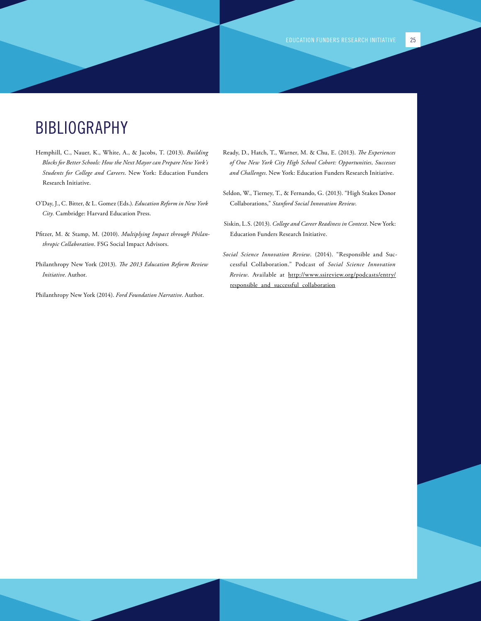# BIBLIOGRAPHY

- Hemphill, C., Nauer, K., White, A., & Jacobs, T. (2013). *Building Blocks for Better Schools: How the Next Mayor can Prepare New York's Students for College and Careers*. New York: Education Funders Research Initiative.
- O'Day, J., C. Bitter, & L. Gomez (Eds.). *Education Reform in New York City.* Cambridge: Harvard Education Press.
- Pfitzer, M. & Stamp, M. (2010). *Multiplying Impact through Philanthropic Collaboration*. FSG Social Impact Advisors.
- Philanthropy New York (2013). *The 2013 Education Reform Review Initiative*. Author.
- Philanthropy New York (2014). *Ford Foundation Narrative*. Author.
- Ready, D., Hatch, T., Warner, M. & Chu, E. (2013). *The Experiences of One New York City High School Cohort: Opportunities, Successes and Challenges*. New York: Education Funders Research Initiative.
- Seldon, W., Tierney, T., & Fernando, G. (2013). "High Stakes Donor Collaborations," *Stanford Social Innovation Review*.
- Siskin, L.S. (2013). *College and Career Readiness in Context*. New York: Education Funders Research Initiative.
- *Social Science Innovation Review*. (2014). "Responsible and Successful Collaboration." Podcast of *Social Science Innovation Review*. Available at [http://www.ssireview.org/podcasts/entry/](http://www.ssireview.org/podcasts/entry/responsible_and_successful_collaboration) [responsible\\_and\\_successful\\_collaboration](http://www.ssireview.org/podcasts/entry/responsible_and_successful_collaboration)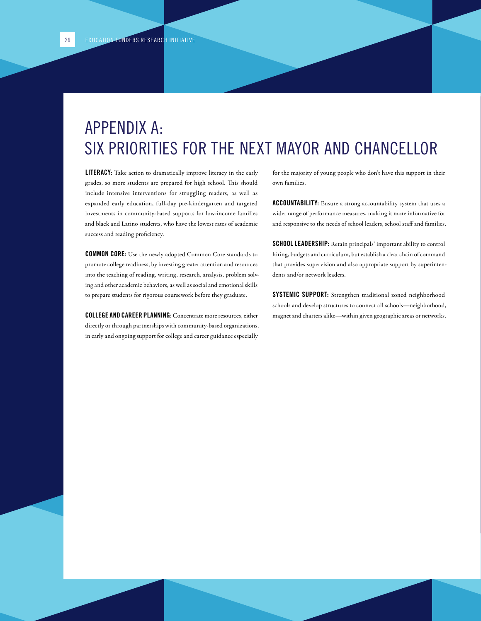# APPENDIX A: SIX PRIORITIES FOR THE NEXT MAYOR AND CHANCELLOR

LITERACY: Take action to dramatically improve literacy in the early grades, so more students are prepared for high school. This should include intensive interventions for struggling readers, as well as expanded early education, full-day pre-kindergarten and targeted investments in community-based supports for low-income families and black and Latino students, who have the lowest rates of academic success and reading proficiency.

COMMON CORE: Use the newly adopted Common Core standards to promote college readiness, by investing greater attention and resources into the teaching of reading, writing, research, analysis, problem solving and other academic behaviors, as well as social and emotional skills to prepare students for rigorous coursework before they graduate.

COLLEGE AND CAREER PLANNING: Concentrate more resources, either directly or through partnerships with community-based organizations, in early and ongoing support for college and career guidance especially

for the majority of young people who don't have this support in their own families.

ACCOUNTABILITY: Ensure a strong accountability system that uses a wider range of performance measures, making it more informative for and responsive to the needs of school leaders, school staff and families.

SCHOOL LEADERSHIP: Retain principals' important ability to control hiring, budgets and curriculum, but establish a clear chain of command that provides supervision and also appropriate support by superintendents and/or network leaders.

SYSTEMIC SUPPORT: Strengthen traditional zoned neighborhood schools and develop structures to connect all schools—neighborhood, magnet and charters alike—within given geographic areas or networks.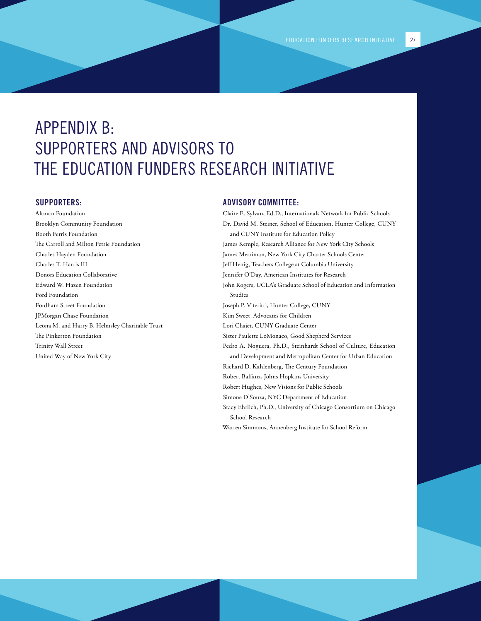# APPENDIX B: SUPPORTERS AND ADVISORS TO THE EDUCATION FUNDERS RESEARCH INITIATIVE

#### SUPPORTERS:

Altman Foundation Brooklyn Community Foundation Booth Ferris Foundation The Carroll and Milton Petrie Foundation Charles Hayden Foundation Charles T. Harris III Donors Education Collaborative Edward W. Hazen Foundation Ford Foundation Fordham Street Foundation JPMorgan Chase Foundation Leona M. and Harry B. Helmsley Charitable Trust The Pinkerton Foundation Trinity Wall Street United Way of New York City

#### ADVISORY COMMITTEE:

Claire E. Sylvan, Ed.D., Internationals Network for Public Schools Dr. David M. Steiner, School of Education, Hunter College, CUNY and CUNY Institute for Education Policy James Kemple, Research Alliance for New York City Schools James Merriman, New York City Charter Schools Center Jeff Henig, Teachers College at Columbia University Jennifer O'Day, American Institutes for Research John Rogers, UCLA's Graduate School of Education and Information Studies Joseph P. Viteritti, Hunter College, CUNY Kim Sweet, Advocates for Children Lori Chajet, CUNY Graduate Center Sister Paulette LoMonaco, Good Shepherd Services Pedro A. Noguera, Ph.D., Steinhardt School of Culture, Education and Development and Metropolitan Center for Urban Education Richard D. Kahlenberg, The Century Foundation Robert Balfanz, Johns Hopkins University Robert Hughes, New Visions for Public Schools Simone D'Souza, NYC Department of Education Stacy Ehrlich, Ph.D., University of Chicago Consortium on Chicago School Research

Warren Simmons, Annenberg Institute for School Reform